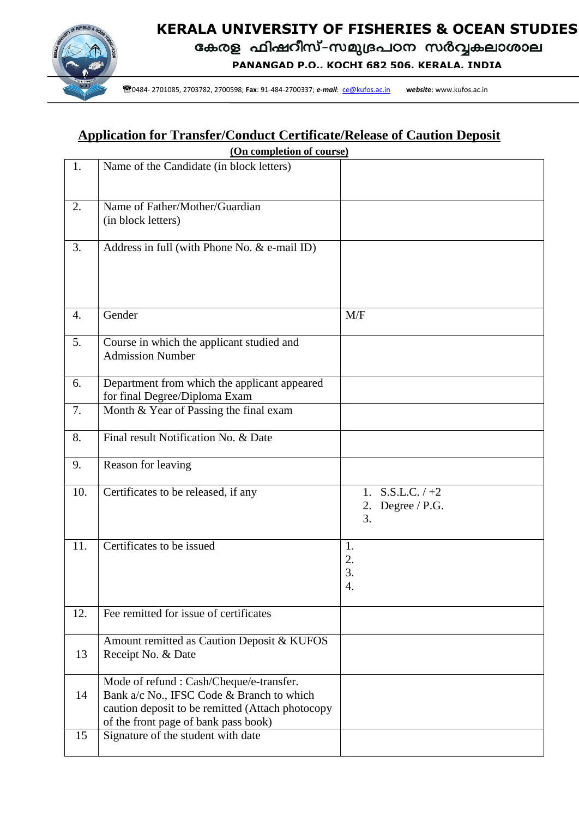

# **KERALA UNIVERSITY OF FISHERIES & OCEAN STUDIES**

**PANANGAD P.O., KOCHI 682 506, KERALA, INDIA**

0484- 2703782, 2700598; **Fax**: 91-484-2700337; *e-mail*[: utypanangad@kufos.ac.in](mailto:utypanangad@kufos.ac.in)**w***ebsit***e**:www.kufos.ac.in

0484- 2701085, 2703782, 2700598; **Fax**: 91-484-2700337; *e-mail*: [ce@kufos.ac.in](mailto:ce@kufos.ac.in) **w***ebsit***e**: www.kufos.ac.in

## **Application for Transfer/Conduct Certificate/Release of Caution Deposit**

| (On completion of course) |                                                                                                                                                                                   |                                                    |  |  |  |  |  |
|---------------------------|-----------------------------------------------------------------------------------------------------------------------------------------------------------------------------------|----------------------------------------------------|--|--|--|--|--|
| 1.                        | Name of the Candidate (in block letters)                                                                                                                                          |                                                    |  |  |  |  |  |
| 2.                        | Name of Father/Mother/Guardian<br>(in block letters)                                                                                                                              |                                                    |  |  |  |  |  |
| 3.                        | Address in full (with Phone No. & e-mail ID)                                                                                                                                      |                                                    |  |  |  |  |  |
| 4.                        | Gender                                                                                                                                                                            | M/F                                                |  |  |  |  |  |
| 5.                        | Course in which the applicant studied and<br><b>Admission Number</b>                                                                                                              |                                                    |  |  |  |  |  |
| 6.                        | Department from which the applicant appeared<br>for final Degree/Diploma Exam                                                                                                     |                                                    |  |  |  |  |  |
| 7.                        | Month & Year of Passing the final exam                                                                                                                                            |                                                    |  |  |  |  |  |
| 8.                        | Final result Notification No. & Date                                                                                                                                              |                                                    |  |  |  |  |  |
| 9.                        | Reason for leaving                                                                                                                                                                |                                                    |  |  |  |  |  |
| 10.                       | Certificates to be released, if any                                                                                                                                               | $S.S.L.C. / +2$<br>1.<br>Degree / P.G.<br>2.<br>3. |  |  |  |  |  |
| 11.                       | Certificates to be issued                                                                                                                                                         | 1.<br>2.<br>3.<br>4.                               |  |  |  |  |  |
| 12.                       | Fee remitted for issue of certificates                                                                                                                                            |                                                    |  |  |  |  |  |
| 13                        | Amount remitted as Caution Deposit & KUFOS<br>Receipt No. & Date                                                                                                                  |                                                    |  |  |  |  |  |
| 14                        | Mode of refund : Cash/Cheque/e-transfer.<br>Bank a/c No., IFSC Code & Branch to which<br>caution deposit to be remitted (Attach photocopy<br>of the front page of bank pass book) |                                                    |  |  |  |  |  |
| 15                        | Signature of the student with date                                                                                                                                                |                                                    |  |  |  |  |  |